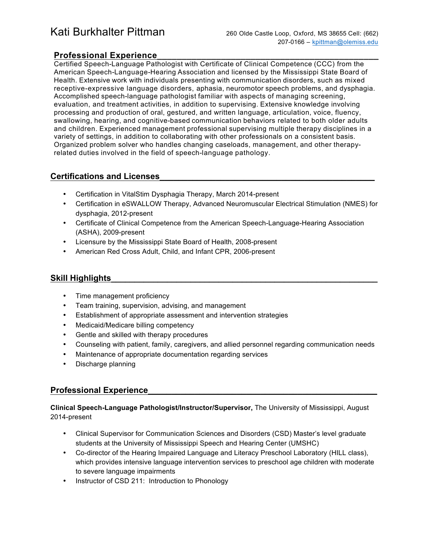# Kati Burkhalter Pittman 260 Olde Castle Loop, Oxford, MS 38655 Cell: (662)

# **Professional Experience\_\_\_\_\_\_\_\_\_\_\_\_\_\_\_\_\_\_\_\_\_\_\_\_\_\_\_\_\_\_\_\_\_\_\_\_\_\_\_\_\_\_\_\_\_**

Certified Speech-Language Pathologist with Certificate of Clinical Competence (CCC) from the American Speech-Language-Hearing Association and licensed by the Mississippi State Board of Health. Extensive work with individuals presenting with communication disorders, such as mixed receptive-expressive language disorders, aphasia, neuromotor speech problems, and dysphagia. Accomplished speech-language pathologist familiar with aspects of managing screening, evaluation, and treatment activities, in addition to supervising. Extensive knowledge involving processing and production of oral, gestured, and written language, articulation, voice, fluency, swallowing, hearing, and cognitive-based communication behaviors related to both older adults and children. Experienced management professional supervising multiple therapy disciplines in a variety of settings, in addition to collaborating with other professionals on a consistent basis. Organized problem solver who handles changing caseloads, management, and other therapyrelated duties involved in the field of speech-language pathology.

# **Certifications and Licenses\_\_\_\_\_\_\_\_\_\_\_\_\_\_\_\_\_\_\_\_\_\_\_\_\_\_\_\_\_\_\_\_\_\_\_\_\_\_\_\_\_\_\_\_\_\_**

- Certification in VitalStim Dysphagia Therapy, March 2014-present
- Certification in eSWALLOW Therapy, Advanced Neuromuscular Electrical Stimulation (NMES) for dysphagia, 2012-present
- Certificate of Clinical Competence from the American Speech-Language-Hearing Association (ASHA), 2009-present
- Licensure by the Mississippi State Board of Health, 2008-present
- American Red Cross Adult, Child, and Infant CPR, 2006-present

## **Skill Highlights**

- Time management proficiency
- Team training, supervision, advising, and management
- Establishment of appropriate assessment and intervention strategies
- Medicaid/Medicare billing competency
- Gentle and skilled with therapy procedures
- Counseling with patient, family, caregivers, and allied personnel regarding communication needs
- Maintenance of appropriate documentation regarding services
- Discharge planning

# **Professional Experience**

**Clinical Speech-Language Pathologist/Instructor/Supervisor,** The University of Mississippi, August 2014-present

- Clinical Supervisor for Communication Sciences and Disorders (CSD) Master's level graduate students at the University of Mississippi Speech and Hearing Center (UMSHC)
- Co-director of the Hearing Impaired Language and Literacy Preschool Laboratory (HILL class), which provides intensive language intervention services to preschool age children with moderate to severe language impairments
- Instructor of CSD 211: Introduction to Phonology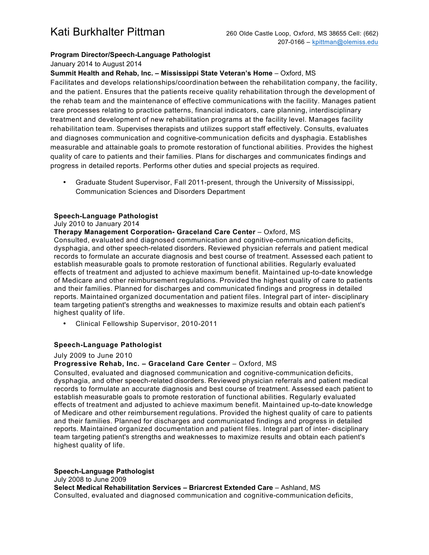### **Program Director/Speech-Language Pathologist**

January 2014 to August 2014

#### **Summit Health and Rehab, Inc. – Mississippi State Veteran's Home** – Oxford, MS

Facilitates and develops relationships/coordination between the rehabilitation company, the facility, and the patient. Ensures that the patients receive quality rehabilitation through the development of the rehab team and the maintenance of effective communications with the facility. Manages patient care processes relating to practice patterns, financial indicators, care planning, interdisciplinary treatment and development of new rehabilitation programs at the facility level. Manages facility rehabilitation team. Supervises therapists and utilizes support staff effectively. Consults, evaluates and diagnoses communication and cognitive-communication deficits and dysphagia. Establishes measurable and attainable goals to promote restoration of functional abilities. Provides the highest quality of care to patients and their families. Plans for discharges and communicates findings and progress in detailed reports. Performs other duties and special projects as required.

• Graduate Student Supervisor, Fall 2011-present, through the University of Mississippi, Communication Sciences and Disorders Department

#### **Speech-Language Pathologist**

#### July 2010 to January 2014

#### **Therapy Management Corporation- Graceland Care Center** – Oxford, MS

Consulted, evaluated and diagnosed communication and cognitive-communication deficits, dysphagia, and other speech-related disorders. Reviewed physician referrals and patient medical records to formulate an accurate diagnosis and best course of treatment. Assessed each patient to establish measurable goals to promote restoration of functional abilities. Regularly evaluated effects of treatment and adjusted to achieve maximum benefit. Maintained up-to-date knowledge of Medicare and other reimbursement regulations. Provided the highest quality of care to patients and their families. Planned for discharges and communicated findings and progress in detailed reports. Maintained organized documentation and patient files. Integral part of inter- disciplinary team targeting patient's strengths and weaknesses to maximize results and obtain each patient's highest quality of life.

• Clinical Fellowship Supervisor, 2010-2011

#### **Speech-Language Pathologist**

#### July 2009 to June 2010

#### **Progressive Rehab, Inc. - Graceland Care Center - Oxford, MS**

Consulted, evaluated and diagnosed communication and cognitive-communication deficits, dysphagia, and other speech-related disorders. Reviewed physician referrals and patient medical records to formulate an accurate diagnosis and best course of treatment. Assessed each patient to establish measurable goals to promote restoration of functional abilities. Regularly evaluated effects of treatment and adjusted to achieve maximum benefit. Maintained up-to-date knowledge of Medicare and other reimbursement regulations. Provided the highest quality of care to patients and their families. Planned for discharges and communicated findings and progress in detailed reports. Maintained organized documentation and patient files. Integral part of inter- disciplinary team targeting patient's strengths and weaknesses to maximize results and obtain each patient's highest quality of life.

#### **Speech-Language Pathologist**

July 2008 to June 2009 **Select Medical Rehabilitation Services – Briarcrest Extended Care** – Ashland, MS Consulted, evaluated and diagnosed communication and cognitive-communication deficits,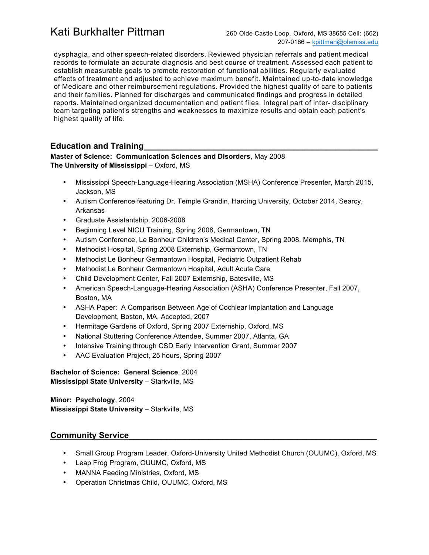# Kati Burkhalter Pittman 260 Olde Castle Loop, Oxford, MS 38655 Cell: (662)

dysphagia, and other speech-related disorders. Reviewed physician referrals and patient medical records to formulate an accurate diagnosis and best course of treatment. Assessed each patient to establish measurable goals to promote restoration of functional abilities. Regularly evaluated effects of treatment and adjusted to achieve maximum benefit. Maintained up-to-date knowledge of Medicare and other reimbursement regulations. Provided the highest quality of care to patients and their families. Planned for discharges and communicated findings and progress in detailed reports. Maintained organized documentation and patient files. Integral part of inter- disciplinary team targeting patient's strengths and weaknesses to maximize results and obtain each patient's highest quality of life.

# **Education and Training**

#### **Master of Science: Communication Sciences and Disorders**, May 2008 **The University of Mississippi** – Oxford, MS

- Mississippi Speech-Language-Hearing Association (MSHA) Conference Presenter, March 2015, Jackson, MS
- Autism Conference featuring Dr. Temple Grandin, Harding University, October 2014, Searcy, Arkansas
- Graduate Assistantship, 2006-2008
- Beginning Level NICU Training, Spring 2008, Germantown, TN
- Autism Conference, Le Bonheur Children's Medical Center, Spring 2008, Memphis, TN
- Methodist Hospital, Spring 2008 Externship, Germantown, TN
- Methodist Le Bonheur Germantown Hospital, Pediatric Outpatient Rehab
- Methodist Le Bonheur Germantown Hospital, Adult Acute Care
- Child Development Center, Fall 2007 Externship, Batesville, MS
- American Speech-Language-Hearing Association (ASHA) Conference Presenter, Fall 2007, Boston, MA
- ASHA Paper: A Comparison Between Age of Cochlear Implantation and Language Development, Boston, MA, Accepted, 2007
- Hermitage Gardens of Oxford, Spring 2007 Externship, Oxford, MS
- National Stuttering Conference Attendee, Summer 2007, Atlanta, GA
- Intensive Training through CSD Early Intervention Grant, Summer 2007
- AAC Evaluation Project, 25 hours, Spring 2007

**Bachelor of Science: General Science**, 2004 **Mississippi State University** – Starkville, MS

**Minor: Psychology**, 2004 **Mississippi State University** – Starkville, MS

## **Community Service\_\_\_\_\_\_\_\_\_\_\_\_\_\_\_\_\_\_\_\_\_\_\_\_\_\_\_\_\_\_\_\_\_\_\_\_\_\_\_\_\_\_\_\_\_\_\_\_\_\_\_\_\_**

- Small Group Program Leader, Oxford-University United Methodist Church (OUUMC), Oxford, MS
- Leap Frog Program, OUUMC, Oxford, MS
- MANNA Feeding Ministries, Oxford, MS
- Operation Christmas Child, OUUMC, Oxford, MS